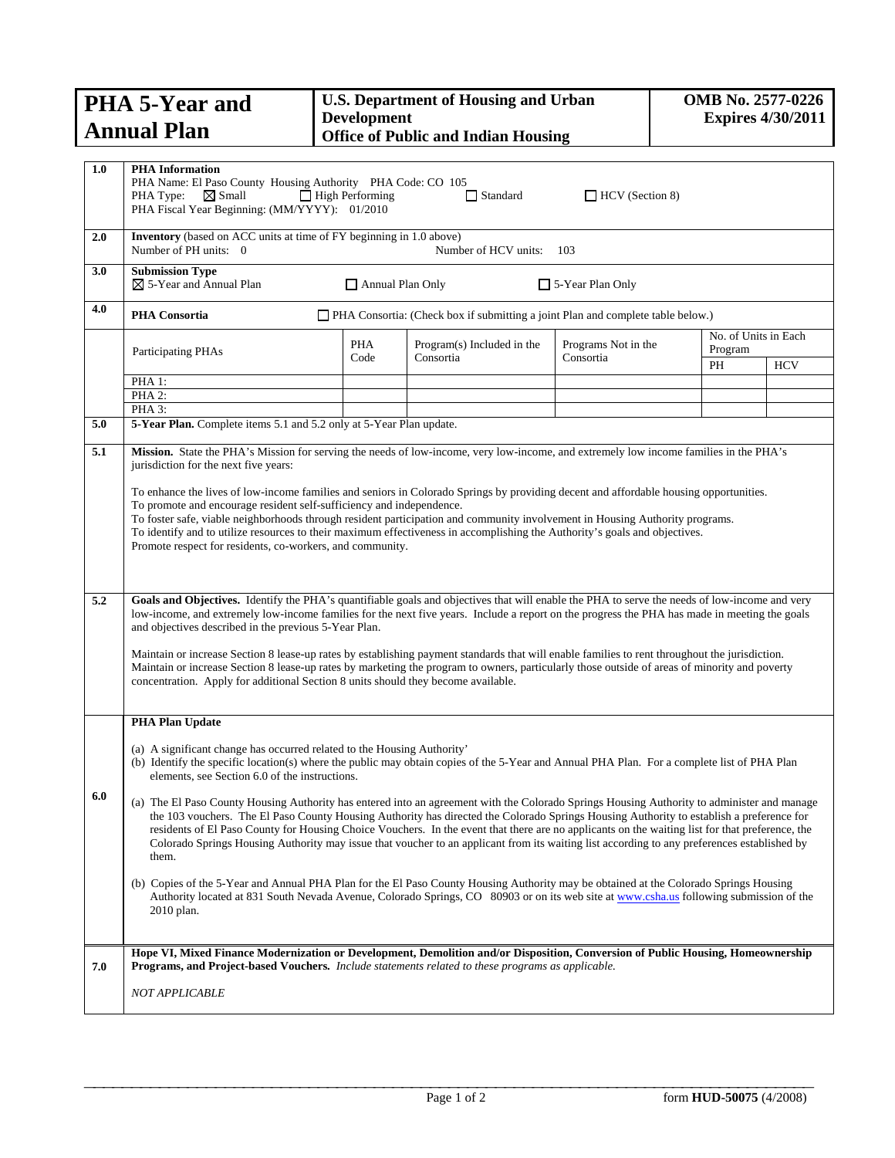| <b>PHA 5-Year and</b>         | <b>U.S. Department of Housing and Urban</b><br><b>Development</b> | <b>OMB</b> No. 2577-0226<br><b>Expires 4/30/2011</b> |
|-------------------------------|-------------------------------------------------------------------|------------------------------------------------------|
| <b>Annual Plan</b>            | <b>Office of Public and Indian Housing</b>                        |                                                      |
|                               |                                                                   |                                                      |
| 1.0<br><b>PHA</b> Information |                                                                   |                                                      |

|     | PHA Name: El Paso County Housing Authority PHA Code: CO 105<br>$\boxtimes$ Small<br>PHA Type:<br>PHA Fiscal Year Beginning: (MM/YYYY): 01/2010                                                                                                                                                                                                                                                                                                                                                                                                                                                                                                                                                                                                  | $\Box$ High Performing  | $\Box$ Standard                                                                 | $\Box$ HCV (Section 8)           |                                       |            |
|-----|-------------------------------------------------------------------------------------------------------------------------------------------------------------------------------------------------------------------------------------------------------------------------------------------------------------------------------------------------------------------------------------------------------------------------------------------------------------------------------------------------------------------------------------------------------------------------------------------------------------------------------------------------------------------------------------------------------------------------------------------------|-------------------------|---------------------------------------------------------------------------------|----------------------------------|---------------------------------------|------------|
| 2.0 | Inventory (based on ACC units at time of FY beginning in 1.0 above)<br>Number of PH units: 0                                                                                                                                                                                                                                                                                                                                                                                                                                                                                                                                                                                                                                                    |                         | Number of HCV units:                                                            | 103                              |                                       |            |
| 3.0 | <b>Submission Type</b><br>$\boxtimes$ 5-Year and Annual Plan                                                                                                                                                                                                                                                                                                                                                                                                                                                                                                                                                                                                                                                                                    | $\Box$ Annual Plan Only |                                                                                 | $\Box$ 5-Year Plan Only          |                                       |            |
| 4.0 | PHA Consortia                                                                                                                                                                                                                                                                                                                                                                                                                                                                                                                                                                                                                                                                                                                                   |                         | PHA Consortia: (Check box if submitting a joint Plan and complete table below.) |                                  |                                       |            |
|     | Participating PHAs                                                                                                                                                                                                                                                                                                                                                                                                                                                                                                                                                                                                                                                                                                                              | PHA<br>Code             | Program(s) Included in the<br>Consortia                                         | Programs Not in the<br>Consortia | No. of Units in Each<br>Program<br>PH | <b>HCV</b> |
|     | PHA 1:                                                                                                                                                                                                                                                                                                                                                                                                                                                                                                                                                                                                                                                                                                                                          |                         |                                                                                 |                                  |                                       |            |
|     | PHA 2:<br>PHA 3:                                                                                                                                                                                                                                                                                                                                                                                                                                                                                                                                                                                                                                                                                                                                |                         |                                                                                 |                                  |                                       |            |
| 5.0 | 5-Year Plan. Complete items 5.1 and 5.2 only at 5-Year Plan update.                                                                                                                                                                                                                                                                                                                                                                                                                                                                                                                                                                                                                                                                             |                         |                                                                                 |                                  |                                       |            |
| 5.1 | Mission. State the PHA's Mission for serving the needs of low-income, very low-income, and extremely low income families in the PHA's<br>jurisdiction for the next five years:                                                                                                                                                                                                                                                                                                                                                                                                                                                                                                                                                                  |                         |                                                                                 |                                  |                                       |            |
|     | To enhance the lives of low-income families and seniors in Colorado Springs by providing decent and affordable housing opportunities.<br>To promote and encourage resident self-sufficiency and independence.<br>To foster safe, viable neighborhoods through resident participation and community involvement in Housing Authority programs.<br>To identify and to utilize resources to their maximum effectiveness in accomplishing the Authority's goals and objectives.<br>Promote respect for residents, co-workers, and community.                                                                                                                                                                                                        |                         |                                                                                 |                                  |                                       |            |
| 5.2 | Goals and Objectives. Identify the PHA's quantifiable goals and objectives that will enable the PHA to serve the needs of low-income and very<br>low-income, and extremely low-income families for the next five years. Include a report on the progress the PHA has made in meeting the goals<br>and objectives described in the previous 5-Year Plan.<br>Maintain or increase Section 8 lease-up rates by establishing payment standards that will enable families to rent throughout the jurisdiction.<br>Maintain or increase Section 8 lease-up rates by marketing the program to owners, particularly those outside of areas of minority and poverty<br>concentration. Apply for additional Section 8 units should they become available. |                         |                                                                                 |                                  |                                       |            |
|     | <b>PHA Plan Update</b>                                                                                                                                                                                                                                                                                                                                                                                                                                                                                                                                                                                                                                                                                                                          |                         |                                                                                 |                                  |                                       |            |
| 6.0 | (a) A significant change has occurred related to the Housing Authority'<br>(b) Identify the specific location(s) where the public may obtain copies of the 5-Year and Annual PHA Plan. For a complete list of PHA Plan<br>elements, see Section 6.0 of the instructions.<br>(a) The El Paso County Housing Authority has entered into an agreement with the Colorado Springs Housing Authority to administer and manage<br>the 103 vouchers. The El Paso County Housing Authority has directed the Colorado Springs Housing Authority to establish a preference for<br>residents of El Paso County for Housing Choice Vouchers. In the event that there are no applicants on the waiting list for that preference, the                          |                         |                                                                                 |                                  |                                       |            |
|     | Colorado Springs Housing Authority may issue that voucher to an applicant from its waiting list according to any preferences established by<br>them.<br>(b) Copies of the 5-Year and Annual PHA Plan for the El Paso County Housing Authority may be obtained at the Colorado Springs Housing<br>Authority located at 831 South Nevada Avenue, Colorado Springs, CO 80903 or on its web site at www.csha.us following submission of the<br>2010 plan.                                                                                                                                                                                                                                                                                           |                         |                                                                                 |                                  |                                       |            |
| 7.0 | Hope VI, Mixed Finance Modernization or Development, Demolition and/or Disposition, Conversion of Public Housing, Homeownership<br><b>Programs, and Project-based Vouchers.</b> Include statements related to these programs as applicable.                                                                                                                                                                                                                                                                                                                                                                                                                                                                                                     |                         |                                                                                 |                                  |                                       |            |
|     | NOT APPLICABLE                                                                                                                                                                                                                                                                                                                                                                                                                                                                                                                                                                                                                                                                                                                                  |                         |                                                                                 |                                  |                                       |            |
|     |                                                                                                                                                                                                                                                                                                                                                                                                                                                                                                                                                                                                                                                                                                                                                 |                         |                                                                                 |                                  |                                       |            |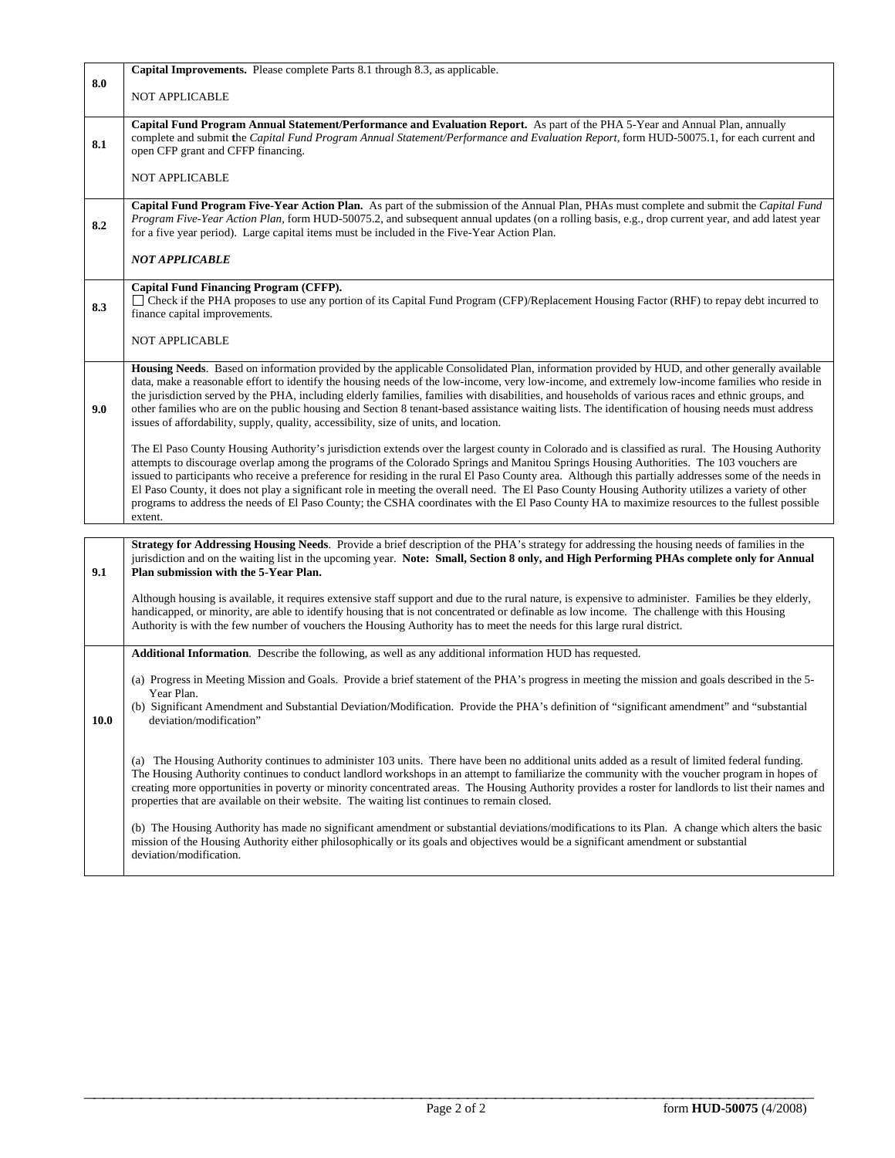|             | Capital Improvements. Please complete Parts 8.1 through 8.3, as applicable.                                                                                                                                                                                                                                                                                                                                                                                                                                                                                                                                                                                                                                                                                             |
|-------------|-------------------------------------------------------------------------------------------------------------------------------------------------------------------------------------------------------------------------------------------------------------------------------------------------------------------------------------------------------------------------------------------------------------------------------------------------------------------------------------------------------------------------------------------------------------------------------------------------------------------------------------------------------------------------------------------------------------------------------------------------------------------------|
| 8.0         | <b>NOT APPLICABLE</b>                                                                                                                                                                                                                                                                                                                                                                                                                                                                                                                                                                                                                                                                                                                                                   |
| 8.1         | Capital Fund Program Annual Statement/Performance and Evaluation Report. As part of the PHA 5-Year and Annual Plan, annually<br>complete and submit the Capital Fund Program Annual Statement/Performance and Evaluation Report, form HUD-50075.1, for each current and<br>open CFP grant and CFFP financing.                                                                                                                                                                                                                                                                                                                                                                                                                                                           |
|             | <b>NOT APPLICABLE</b>                                                                                                                                                                                                                                                                                                                                                                                                                                                                                                                                                                                                                                                                                                                                                   |
| 8.2         | Capital Fund Program Five-Year Action Plan. As part of the submission of the Annual Plan, PHAs must complete and submit the Capital Fund<br>Program Five-Year Action Plan, form HUD-50075.2, and subsequent annual updates (on a rolling basis, e.g., drop current year, and add latest year<br>for a five year period). Large capital items must be included in the Five-Year Action Plan.                                                                                                                                                                                                                                                                                                                                                                             |
|             | <b>NOT APPLICABLE</b>                                                                                                                                                                                                                                                                                                                                                                                                                                                                                                                                                                                                                                                                                                                                                   |
| 8.3         | <b>Capital Fund Financing Program (CFFP).</b><br>□ Check if the PHA proposes to use any portion of its Capital Fund Program (CFP)/Replacement Housing Factor (RHF) to repay debt incurred to<br>finance capital improvements.                                                                                                                                                                                                                                                                                                                                                                                                                                                                                                                                           |
|             | <b>NOT APPLICABLE</b>                                                                                                                                                                                                                                                                                                                                                                                                                                                                                                                                                                                                                                                                                                                                                   |
| 9.0         | Housing Needs. Based on information provided by the applicable Consolidated Plan, information provided by HUD, and other generally available<br>data, make a reasonable effort to identify the housing needs of the low-income, very low-income, and extremely low-income families who reside in<br>the jurisdiction served by the PHA, including elderly families, families with disabilities, and households of various races and ethnic groups, and<br>other families who are on the public housing and Section 8 tenant-based assistance waiting lists. The identification of housing needs must address<br>issues of affordability, supply, quality, accessibility, size of units, and location.                                                                   |
|             | The El Paso County Housing Authority's jurisdiction extends over the largest county in Colorado and is classified as rural. The Housing Authority<br>attempts to discourage overlap among the programs of the Colorado Springs and Manitou Springs Housing Authorities. The 103 vouchers are<br>issued to participants who receive a preference for residing in the rural El Paso County area. Although this partially addresses some of the needs in<br>El Paso County, it does not play a significant role in meeting the overall need. The El Paso County Housing Authority utilizes a variety of other<br>programs to address the needs of El Paso County; the CSHA coordinates with the El Paso County HA to maximize resources to the fullest possible<br>extent. |
|             | Strategy for Addressing Housing Needs. Provide a brief description of the PHA's strategy for addressing the housing needs of families in the                                                                                                                                                                                                                                                                                                                                                                                                                                                                                                                                                                                                                            |
| 9.1         | jurisdiction and on the waiting list in the upcoming year. Note: Small, Section 8 only, and High Performing PHAs complete only for Annual<br>Plan submission with the 5-Year Plan.                                                                                                                                                                                                                                                                                                                                                                                                                                                                                                                                                                                      |
|             | Although housing is available, it requires extensive staff support and due to the rural nature, is expensive to administer. Families be they elderly,<br>handicapped, or minority, are able to identify housing that is not concentrated or definable as low income. The challenge with this Housing<br>Authority is with the few number of vouchers the Housing Authority has to meet the needs for this large rural district.                                                                                                                                                                                                                                                                                                                                         |
|             | Additional Information. Describe the following, as well as any additional information HUD has requested.                                                                                                                                                                                                                                                                                                                                                                                                                                                                                                                                                                                                                                                                |
| <b>10.0</b> | (a) Progress in Meeting Mission and Goals. Provide a brief statement of the PHA's progress in meeting the mission and goals described in the 5-<br>Year Plan.<br>(b) Significant Amendment and Substantial Deviation/Modification. Provide the PHA's definition of "significant amendment" and "substantial<br>deviation/modification                                                                                                                                                                                                                                                                                                                                                                                                                                   |
|             | (a) The Housing Authority continues to administer 103 units. There have been no additional units added as a result of limited federal funding.<br>The Housing Authority continues to conduct landlord workshops in an attempt to familiarize the community with the voucher program in hopes of<br>creating more opportunities in poverty or minority concentrated areas. The Housing Authority provides a roster for landlords to list their names and<br>properties that are available on their website. The waiting list continues to remain closed.                                                                                                                                                                                                                 |
|             | (b) The Housing Authority has made no significant amendment or substantial deviations/modifications to its Plan. A change which alters the basic<br>mission of the Housing Authority either philosophically or its goals and objectives would be a significant amendment or substantial<br>deviation/modification.                                                                                                                                                                                                                                                                                                                                                                                                                                                      |

**\_\_\_\_\_\_\_\_\_\_\_\_\_\_\_\_\_\_\_\_\_\_\_\_\_\_\_\_\_\_\_\_\_\_\_\_\_\_\_\_\_\_\_\_\_\_\_\_\_\_\_\_\_\_\_\_\_\_\_\_\_\_\_\_\_\_\_\_\_\_\_\_\_\_\_\_\_\_**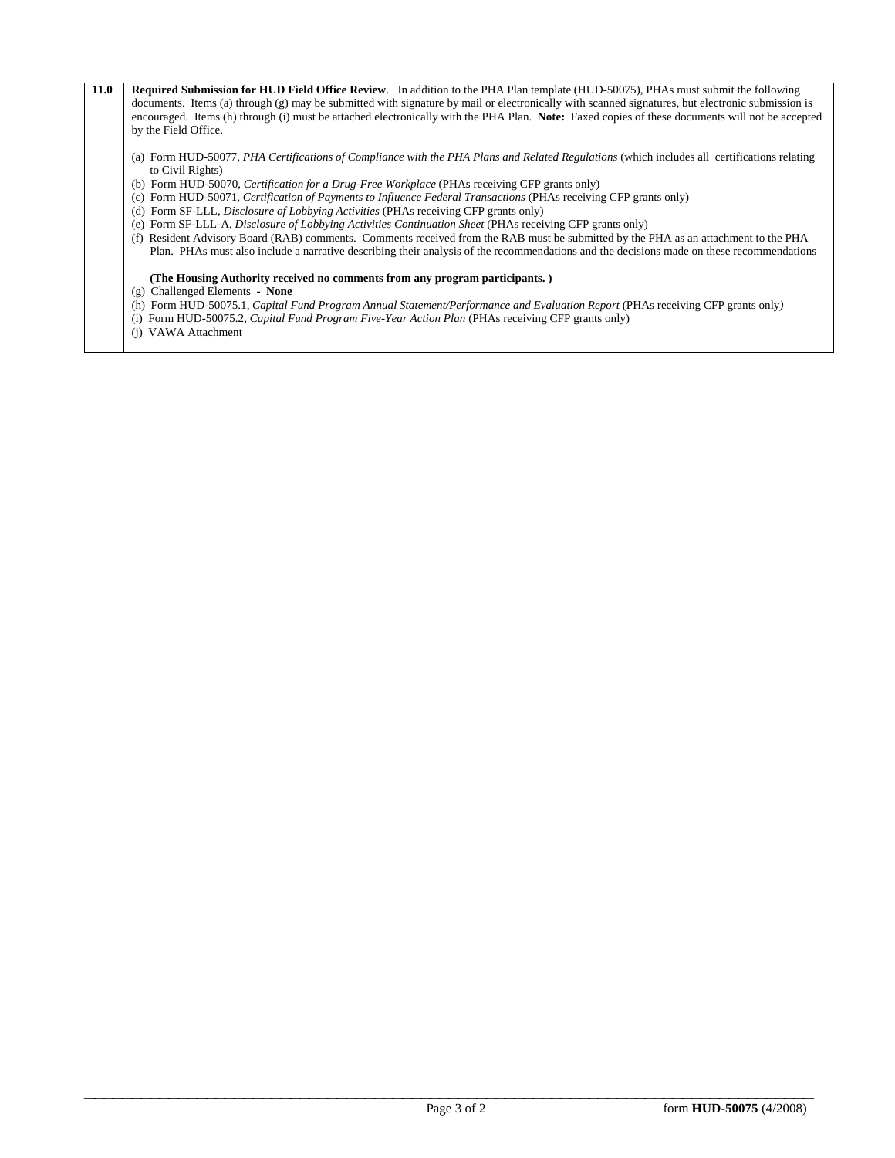| 11.0 | Required Submission for HUD Field Office Review. In addition to the PHA Plan template (HUD-50075), PHAs must submit the following                               |
|------|-----------------------------------------------------------------------------------------------------------------------------------------------------------------|
|      | documents. Items (a) through (g) may be submitted with signature by mail or electronically with scanned signatures, but electronic submission is                |
|      | encouraged. Items (h) through (i) must be attached electronically with the PHA Plan. Note: Faxed copies of these documents will not be accepted                 |
|      | by the Field Office.                                                                                                                                            |
|      | (a) Form HUD-50077, PHA Certifications of Compliance with the PHA Plans and Related Regulations (which includes all certifications relating<br>to Civil Rights) |
|      | (b) Form HUD-50070, Certification for a Drug-Free Workplace (PHAs receiving CFP grants only)                                                                    |
|      | (c) Form HUD-50071, Certification of Payments to Influence Federal Transactions (PHAs receiving CFP grants only)                                                |
|      | (d) Form SF-LLL, <i>Disclosure of Lobbying Activities</i> (PHAs receiving CFP grants only)                                                                      |
|      | (e) Form SF-LLL-A, <i>Disclosure of Lobbying Activities Continuation Sheet</i> (PHAs receiving CFP grants only)                                                 |
|      | Resident Advisory Board (RAB) comments. Comments received from the RAB must be submitted by the PHA as an attachment to the PHA<br>(f)                          |
|      | Plan. PHAs must also include a narrative describing their analysis of the recommendations and the decisions made on these recommendations                       |
|      | (The Housing Authority received no comments from any program participants.)                                                                                     |
|      | $(g)$ Challenged Elements - None                                                                                                                                |
|      | (h) Form HUD-50075.1, Capital Fund Program Annual Statement/Performance and Evaluation Report (PHAs receiving CFP grants only)                                  |
|      | (i) Form HUD-50075.2, Capital Fund Program Five-Year Action Plan (PHAs receiving CFP grants only)                                                               |
|      | VAWA Attachment<br>(i)                                                                                                                                          |
|      |                                                                                                                                                                 |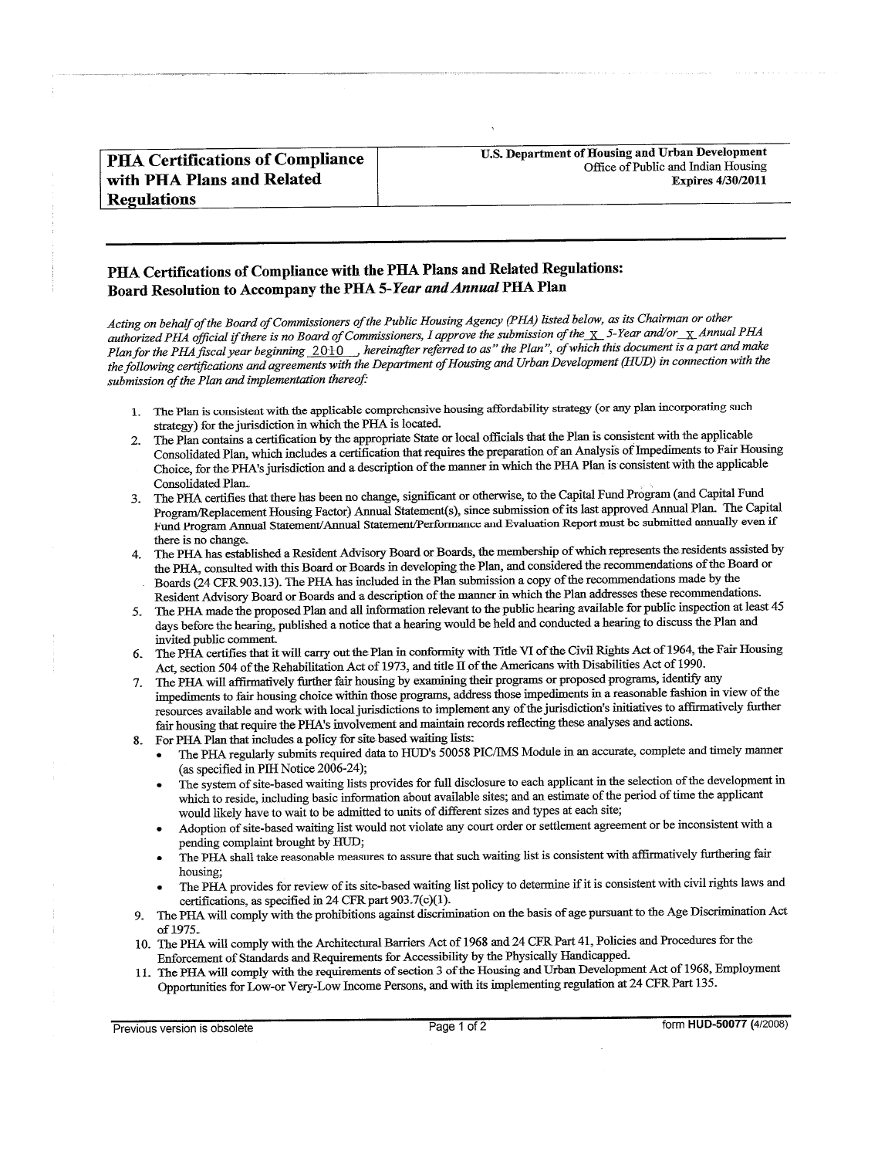| <b>PHA Certifications of Compliance</b> |  |
|-----------------------------------------|--|
| with PHA Plans and Related              |  |
| <b>Regulations</b>                      |  |

## PHA Certifications of Compliance with the PHA Plans and Related Regulations: Board Resolution to Accompany the PHA 5-Year and Annual PHA Plan

Acting on behalf of the Board of Commissioners of the Public Housing Agency (PHA) listed below, as its Chairman or other authorized PHA official if there is no Board of Commissioners, I approve the submission of the  $\chi$  5-Year and/or  $\chi$  Annual PHA Plan for the PHA fiscal year beginning  $2010$ , hereinafter referred to as" the Plan", of which this document is a part and make the following certifications and agreements with the Department of Housing and Urban Development (HUD) in connection with the submission of the Plan and implementation thereof:

- 1. The Plan is consistent with the applicable comprehensive housing affordability strategy (or any plan incorporating such strategy) for the jurisdiction in which the PHA is located.
- The Plan contains a certification by the appropriate State or local officials that the Plan is consistent with the applicable Consolidated Plan, which includes a certification that requires the preparation of an Analysis of Impediments to Fair Housing Choice, for the PHA's jurisdiction and a description of the manner in which the PHA Plan is consistent with the applicable Consolidated Plan.
- The PHA certifies that there has been no change, significant or otherwise, to the Capital Fund Program (and Capital Fund Program/Replacement Housing Factor) Annual Statement(s), since submission of its last approved Annual Plan. The Capital Fund Program Annual Statement/Annual Statement/Performance and Evaluation Report must be submitted annually even if there is no change.
- The PHA has established a Resident Advisory Board or Boards, the membership of which represents the residents assisted by  $4.$ the PHA, consulted with this Board or Boards in developing the Plan, and considered the recommendations of the Board or Boards (24 CFR 903.13). The PHA has included in the Plan submission a copy of the recommendations made by the Resident Advisory Board or Boards and a description of the manner in which the Plan addresses these recommendations.
- 5. The PHA made the proposed Plan and all information relevant to the public hearing available for public inspection at least 45 days before the hearing, published a notice that a hearing would be held and conducted a hearing to discuss the Plan and invited public comment.
- The PHA certifies that it will carry out the Plan in conformity with Title VI of the Civil Rights Act of 1964, the Fair Housing 6. Act, section 504 of the Rehabilitation Act of 1973, and title II of the Americans with Disabilities Act of 1990.
- The PHA will affirmatively further fair housing by examining their programs or proposed programs, identify any 7. impediments to fair housing choice within those programs, address those impediments in a reasonable fashion in view of the resources available and work with local jurisdictions to implement any of the jurisdiction's initiatives to affirmatively further fair housing that require the PHA's involvement and maintain records reflecting these analyses and actions.
- For PHA Plan that includes a policy for site based waiting lists: 8.
	- The PHA regularly submits required data to HUD's 50058 PIC/IMS Module in an accurate, complete and timely manner (as specified in PIH Notice 2006-24);
	- The system of site-based waiting lists provides for full disclosure to each applicant in the selection of the development in which to reside, including basic information about available sites; and an estimate of the period of time the applicant would likely have to wait to be admitted to units of different sizes and types at each site;
	- Adoption of site-based waiting list would not violate any court order or settlement agreement or be inconsistent with a pending complaint brought by HUD;
	- The PHA shall take reasonable measures to assure that such waiting list is consistent with affirmatively furthering fair housing:
	- The PHA provides for review of its site-based waiting list policy to determine if it is consistent with civil rights laws and certifications, as specified in 24 CFR part 903.7(c)(1).
- The PHA will comply with the prohibitions against discrimination on the basis of age pursuant to the Age Discrimination Act Q. of 1975.
- 10. The PHA will comply with the Architectural Barriers Act of 1968 and 24 CFR Part 41, Policies and Procedures for the Enforcement of Standards and Requirements for Accessibility by the Physically Handicapped.
- The PHA will comply with the requirements of section 3 of the Housing and Urban Development Act of 1968, Employment Opportunities for Low-or Very-Low Income Persons, and with its implementing regulation at 24 CFR Part 135.

Previous version is obsolete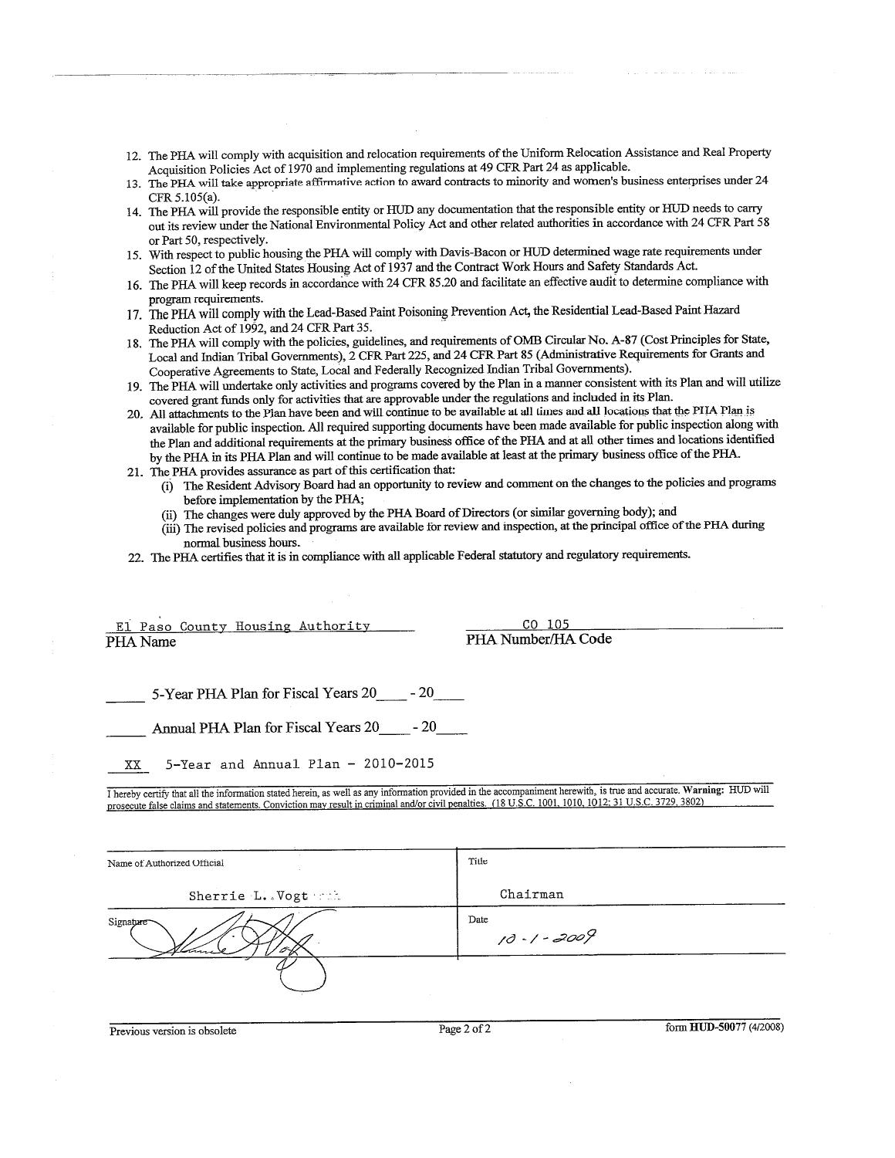- 12. The PHA will comply with acquisition and relocation requirements of the Uniform Relocation Assistance and Real Property Acquisition Policies Act of 1970 and implementing regulations at 49 CFR Part 24 as applicable.
- 13. The PHA will take appropriate affirmative action to award contracts to minority and women's business enterprises under 24 CFR 5.105(a).
- 14. The PHA will provide the responsible entity or HUD any documentation that the responsible entity or HUD needs to carry out its review under the National Environmental Policy Act and other related authorities in accordance with 24 CFR Part 58 or Part 50, respectively.
- 15. With respect to public housing the PHA will comply with Davis-Bacon or HUD determined wage rate requirements under Section 12 of the United States Housing Act of 1937 and the Contract Work Hours and Safety Standards Act.
- 16. The PHA will keep records in accordance with 24 CFR 85.20 and facilitate an effective audit to determine compliance with program requirements.
- 17. The PHA will comply with the Lead-Based Paint Poisoning Prevention Act, the Residential Lead-Based Paint Hazard Reduction Act of 1992, and 24 CFR Part 35.
- 18. The PHA will comply with the policies, guidelines, and requirements of OMB Circular No. A-87 (Cost Principles for State, Local and Indian Tribal Governments), 2 CFR Part 225, and 24 CFR Part 85 (Administrative Requirements for Grants and Cooperative Agreements to State, Local and Federally Recognized Indian Tribal Governments).
- 19. The PHA will undertake only activities and programs covered by the Plan in a manner consistent with its Plan and will utilize covered grant funds only for activities that are approvable under the regulations and included in its Plan.
- 20. All attachments to the Plan have been and will continue to be available at all times and all locations that the PHA Plan is available for public inspection. All required supporting documents have been made available for public inspection along with the Plan and additional requirements at the primary business office of the PHA and at all other times and locations identified by the PHA in its PHA Plan and will continue to be made available at least at the primary business office of the PHA.
- 21. The PHA provides assurance as part of this certification that:
	- (i) The Resident Advisory Board had an opportunity to review and comment on the changes to the policies and programs before implementation by the PHA;
	- (ii) The changes were duly approved by the PHA Board of Directors (or similar governing body); and
	- (iii) The revised policies and programs are available for review and inspection, at the principal office of the PHA during normal business hours.
- 22. The PHA certifies that it is in compliance with all applicable Federal statutory and regulatory requirements.

#### El Paso County Housing Authority PHA Name

<u>CO 105</u> PHA Number/HA Code

5-Year PHA Plan for Fiscal Years 20 \_\_\_\_\_ - 20

Annual PHA Plan for Fiscal Years 20 \_\_\_\_\_ - 20

5-Year and Annual Plan - 2010-2015  $\mathbf{X} \mathbf{X}$ 

I hereby certify that all the information stated herein, as well as any information provided in the accompaniment herewith, is true and accurate. Warning: HUD will prosecute false claims and statements. Conviction may result in criminal and/or civil penalties. (18 U.S.C. 1001, 1010, 1012; 31 U.S.C. 3729, 3802)

| Name of Authorized Official | Title                   |
|-----------------------------|-------------------------|
| Sherrie L. Vogt muh         | Chairman                |
| Signature                   | Date<br>$10 - 1 - 2009$ |
|                             |                         |

Previous version is obsolete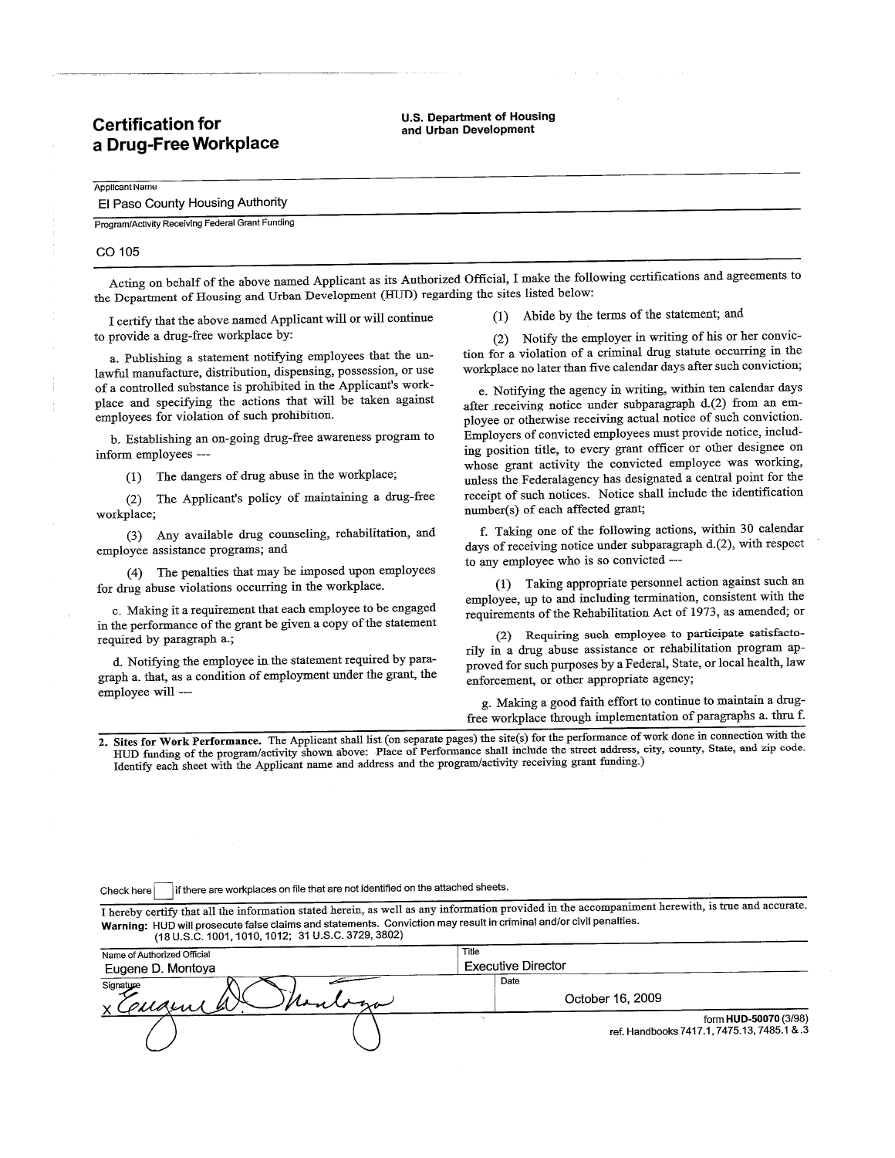## **Certification for** a Drug-Free Workplace

**U.S. Department of Housing** and Urban Development

## El Paso County Housing Authority

Program/Activity Receiving Federal Grant Funding

#### CO 105

Applicant Name

Acting on behalf of the above named Applicant as its Authorized Official, I make the following certifications and agreements to the Department of Housing and Urban Development (HUD) regarding the sites listed below:

I certify that the above named Applicant will or will continue to provide a drug-free workplace by:

a. Publishing a statement notifying employees that the unlawful manufacture, distribution, dispensing, possession, or use of a controlled substance is prohibited in the Applicant's workplace and specifying the actions that will be taken against employees for violation of such prohibition.

b. Establishing an on-going drug-free awareness program to inform employees ---

(1) The dangers of drug abuse in the workplace;

(2) The Applicant's policy of maintaining a drug-free workplace;

(3) Any available drug counseling, rehabilitation, and employee assistance programs; and

(4) The penalties that may be imposed upon employees for drug abuse violations occurring in the workplace.

c. Making it a requirement that each employee to be engaged in the performance of the grant be given a copy of the statement required by paragraph a.;

d. Notifying the employee in the statement required by paragraph a. that, as a condition of employment under the grant, the employee will ---

(1) Abide by the terms of the statement; and

(2) Notify the employer in writing of his or her conviction for a violation of a criminal drug statute occurring in the workplace no later than five calendar days after such conviction;

e. Notifying the agency in writing, within ten calendar days after receiving notice under subparagraph d.(2) from an employee or otherwise receiving actual notice of such conviction. Employers of convicted employees must provide notice, including position title, to every grant officer or other designee on whose grant activity the convicted employee was working, unless the Federalagency has designated a central point for the receipt of such notices. Notice shall include the identification number(s) of each affected grant;

f. Taking one of the following actions, within 30 calendar days of receiving notice under subparagraph d.(2), with respect to any employee who is so convicted ---

(1) Taking appropriate personnel action against such an employee, up to and including termination, consistent with the requirements of the Rehabilitation Act of 1973, as amended; or

(2) Requiring such employee to participate satisfactorily in a drug abuse assistance or rehabilitation program approved for such purposes by a Federal, State, or local health, law enforcement, or other appropriate agency;

g. Making a good faith effort to continue to maintain a drugfree workplace through implementation of paragraphs a. thru f.

2. Sites for Work Performance. The Applicant shall list (on separate pages) the site(s) for the performance of work done in connection with the HUD funding of the program/activity shown above: Place of Performance shall include the street address, city, county, Statc, and zip code. Identify each sheet with the Applicant name and address and the program/activity receiving grant funding.)

if there are workplaces on file that are not identified on the attached sheets. Check here

I hereby certify that all the information stated herein, as well as any information provided in the accompaniment herewith, is true and accurate. Warning: HUD will prosecute false claims and statements. Conviction may result in criminal and/or civil penalties. (18 U.S.C. 1001, 1010, 1012; 31 U.S.C. 3729, 3802)

| Name of Authorized Official | Title                                                                |
|-----------------------------|----------------------------------------------------------------------|
| Eugene D. Montoya           | <b>Executive Director</b>                                            |
| Signature<br>x couzent a.   | Date<br>October 16, 2009                                             |
|                             | form HUD-50070 (3/98)<br>ref. Handbooks 7417.1, 7475.13, 7485.1 & .3 |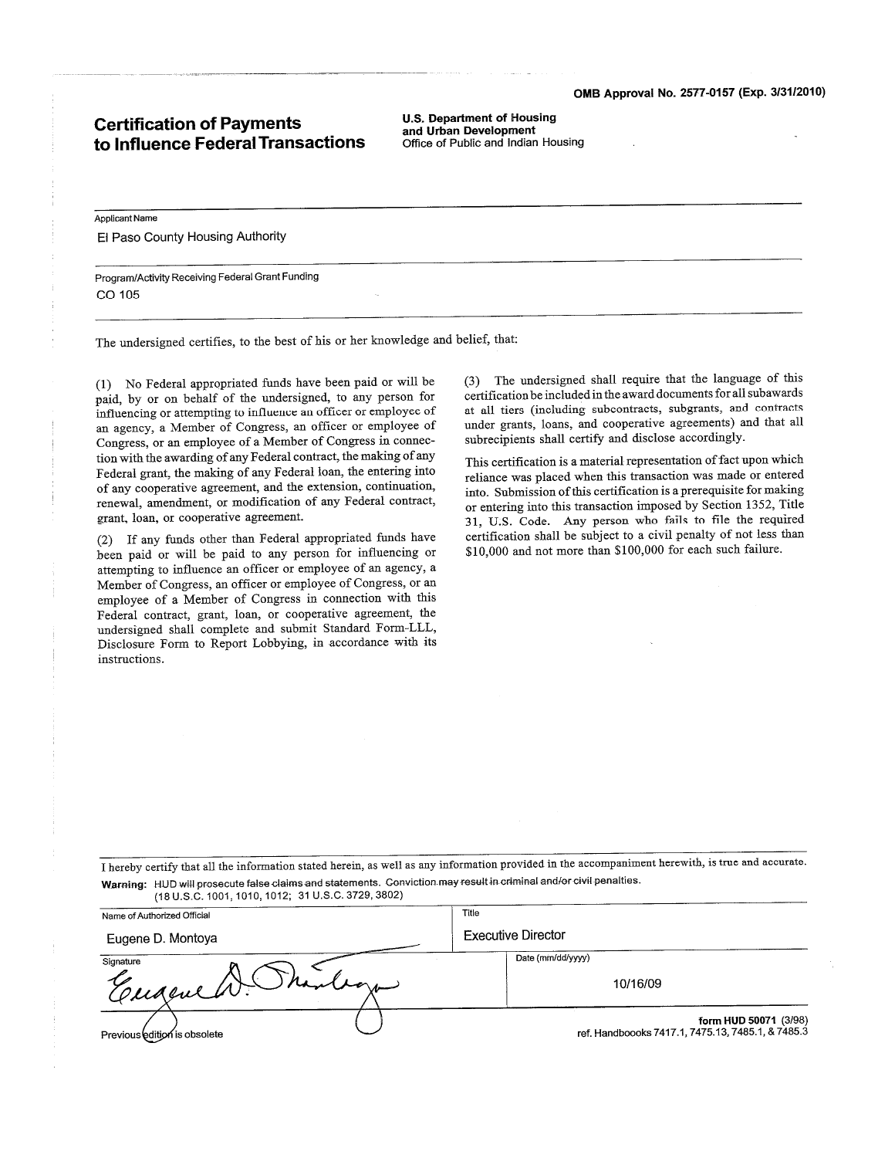### **Certification of Payments** to Influence Federal Transactions

**U.S. Department of Housing** and Urban Development Office of Public and Indian Housing

Applicant Name El Paso County Housing Authority

Program/Activity Receiving Federal Grant Funding CO 105

The undersigned certifies, to the best of his or her knowledge and belief, that:

(1) No Federal appropriated funds have been paid or will be paid, by or on behalf of the undersigned, to any person for influencing or attempting to influence an officer or employee of an agency, a Member of Congress, an officer or employee of Congress, or an employee of a Member of Congress in connection with the awarding of any Federal contract, the making of any Federal grant, the making of any Federal loan, the entering into of any cooperative agreement, and the extension, continuation, renewal, amendment, or modification of any Federal contract, grant, loan, or cooperative agreement.

If any funds other than Federal appropriated funds have  $(2)$ been paid or will be paid to any person for influencing or attempting to influence an officer or employee of an agency, a Member of Congress, an officer or employee of Congress, or an employee of a Member of Congress in connection with this Federal contract, grant, loan, or cooperative agreement, the undersigned shall complete and submit Standard Form-LLL, Disclosure Form to Report Lobbying, in accordance with its instructions.

(3) The undersigned shall require that the language of this certification be included in the award documents for all subawards at all tiers (including subcontracts, subgrants, and contracts under grants, loans, and cooperative agreements) and that all subrecipients shall certify and disclose accordingly.

This certification is a material representation of fact upon which reliance was placed when this transaction was made or entered into. Submission of this certification is a prerequisite for making or entering into this transaction imposed by Section 1352, Title 31, U.S. Code. Any person who fails to file the required certification shall be subject to a civil penalty of not less than \$10,000 and not more than \$100,000 for each such failure.

I hereby certify that all the information stated herein, as well as any information provided in the accompaniment herewith, is true and accurate. Warning: HUD will prosecute false claims and statements. Conviction may result in criminal and/or civil penalties. (18 U.S.C. 1001, 1010, 1012; 31 U.S.C. 3729, 3802)

| Name of Authorized Official  | Title                                                                      |
|------------------------------|----------------------------------------------------------------------------|
| Eugene D. Montoya            | <b>Executive Director</b>                                                  |
| Signature<br>Cengene W. Shan | Date (mm/dd/yyyy)<br>10/16/09                                              |
| Previous edition is obsolete | form HUD 50071 (3/98)<br>ref. Handboooks 7417.1, 7475.13, 7485.1, & 7485.3 |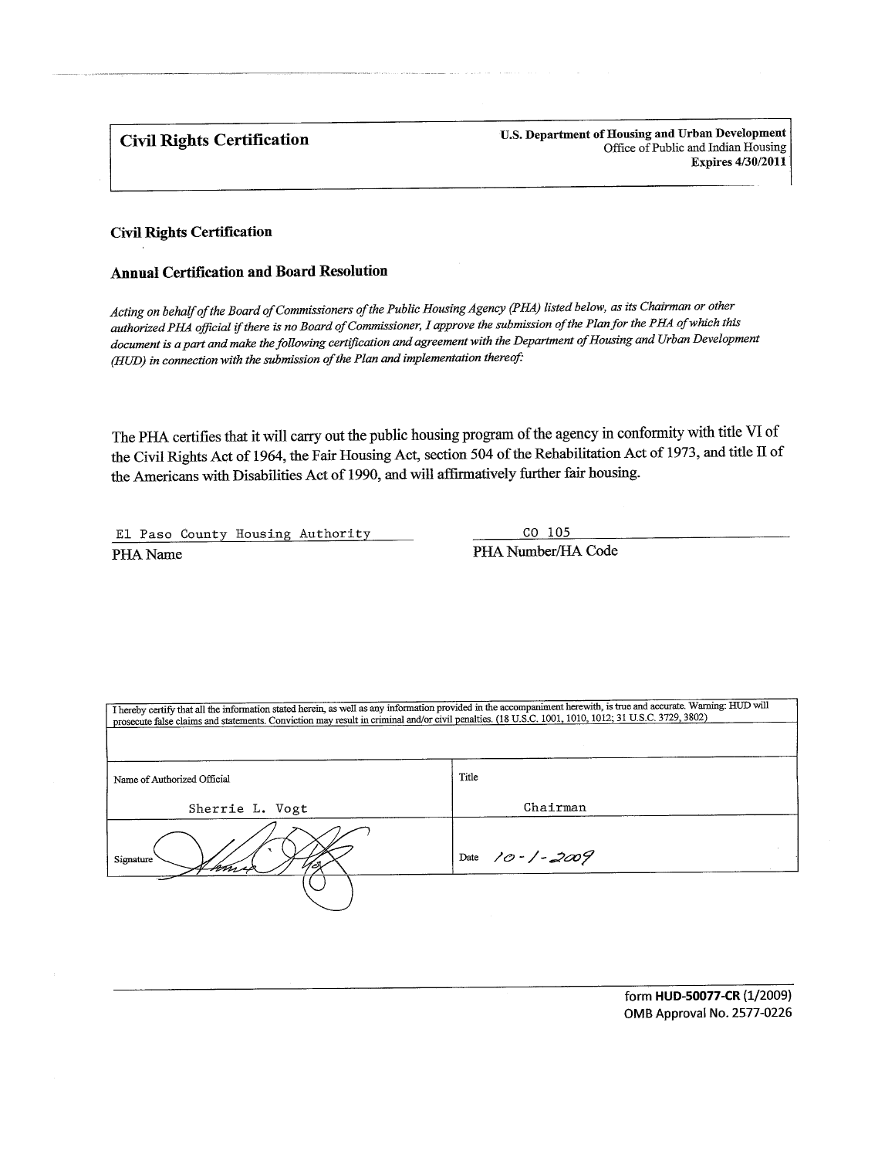**Civil Rights Certification** 

U.S. Department of Housing and Urban Development Office of Public and Indian Housing **Expires 4/30/2011** 

#### **Civil Rights Certification**

#### **Annual Certification and Board Resolution**

Acting on behalf of the Board of Commissioners of the Public Housing Agency (PHA) listed below, as its Chairman or other authorized PHA official if there is no Board of Commissioner, I approve the submission of the Plan for the PHA of which this document is a part and make the following certification and agreement with the Department of Housing and Urban Development (HUD) in connection with the submission of the Plan and implementation thereof:

The PHA certifies that it will carry out the public housing program of the agency in conformity with title VI of the Civil Rights Act of 1964, the Fair Housing Act, section 504 of the Rehabilitation Act of 1973, and title II of the Americans with Disabilities Act of 1990, and will affirmatively further fair housing.

El Paso County Housing Authority PHA Name

CO 105 PHA Number/HA Code

| prosecute false claims and statements. Conviction may result in criminal and/or civil penalties. (18 U.S.C. 1001, 1010, 1012; 31 U.S.C. 3729, 3802) | I hereby certify that all the information stated herein, as well as any information provided in the accompaniment herewith, is true and accurate. Warning: HUD will |
|-----------------------------------------------------------------------------------------------------------------------------------------------------|---------------------------------------------------------------------------------------------------------------------------------------------------------------------|
|                                                                                                                                                     |                                                                                                                                                                     |
|                                                                                                                                                     |                                                                                                                                                                     |
| Name of Authorized Official                                                                                                                         | Title                                                                                                                                                               |
| Sherrie L. Vogt                                                                                                                                     | Chairman                                                                                                                                                            |
| Signature                                                                                                                                           | Date 10 - 1 - 2009                                                                                                                                                  |
|                                                                                                                                                     |                                                                                                                                                                     |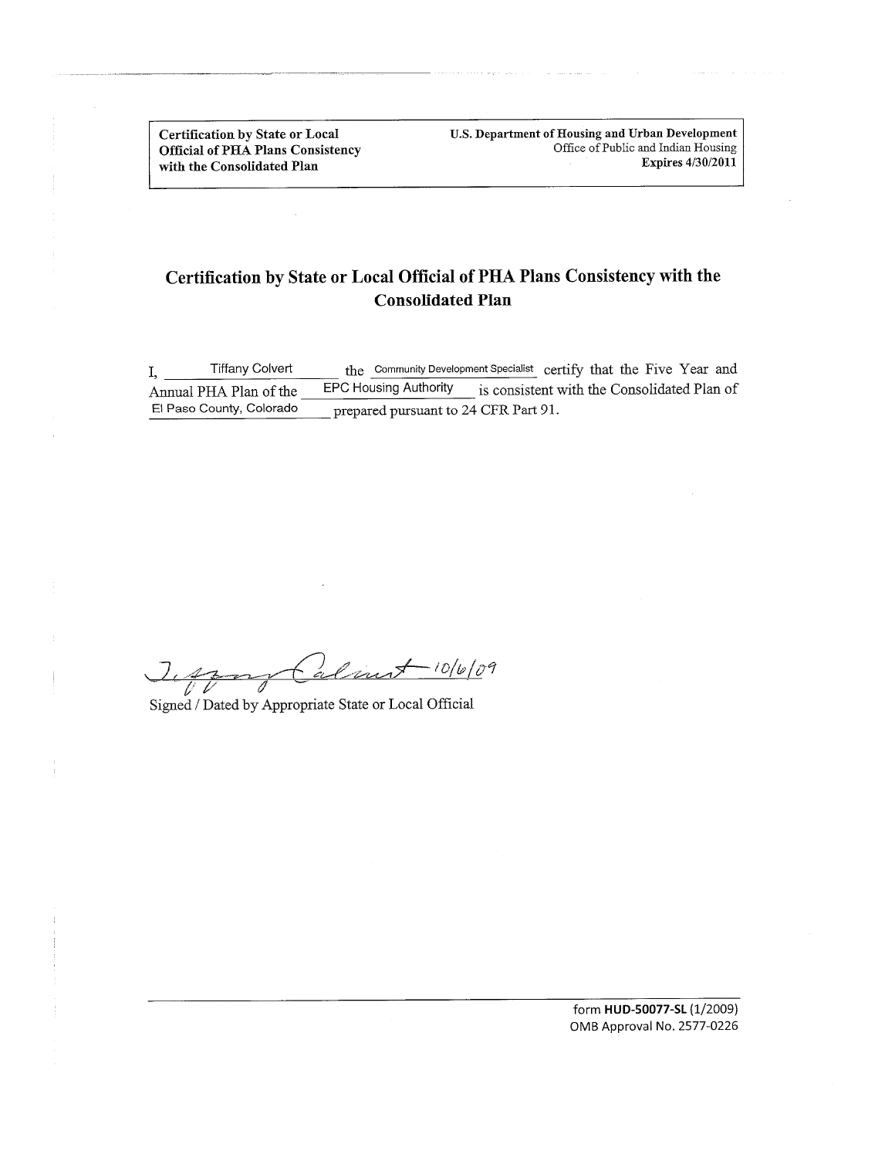**Certification by State or Local Official of PHA Plans Consistency** with the Consolidated Plan

U.S. Department of Housing and Urban Development Office of Public and Indian Housing Expires 4/30/2011

# Certification by State or Local Official of PHA Plans Consistency with the **Consolidated Plan**

the Community Development Specialist certify that the Five Year and **Tiffany Colvert**  $I, \_$ EPC Housing Authority is consistent with the Consolidated Plan of Annual PHA Plan of the El Paso County, Colorado prepared pursuant to 24 CFR Part 91.

alint-10/6/09  $J_{\iota}$  $\overline{\overline{\mathscr{U}}}$  $\sim$ 

Signed / Dated by Appropriate State or Local Official

form HUD-50077-SL (1/2009) OMB Approval No. 2577-0226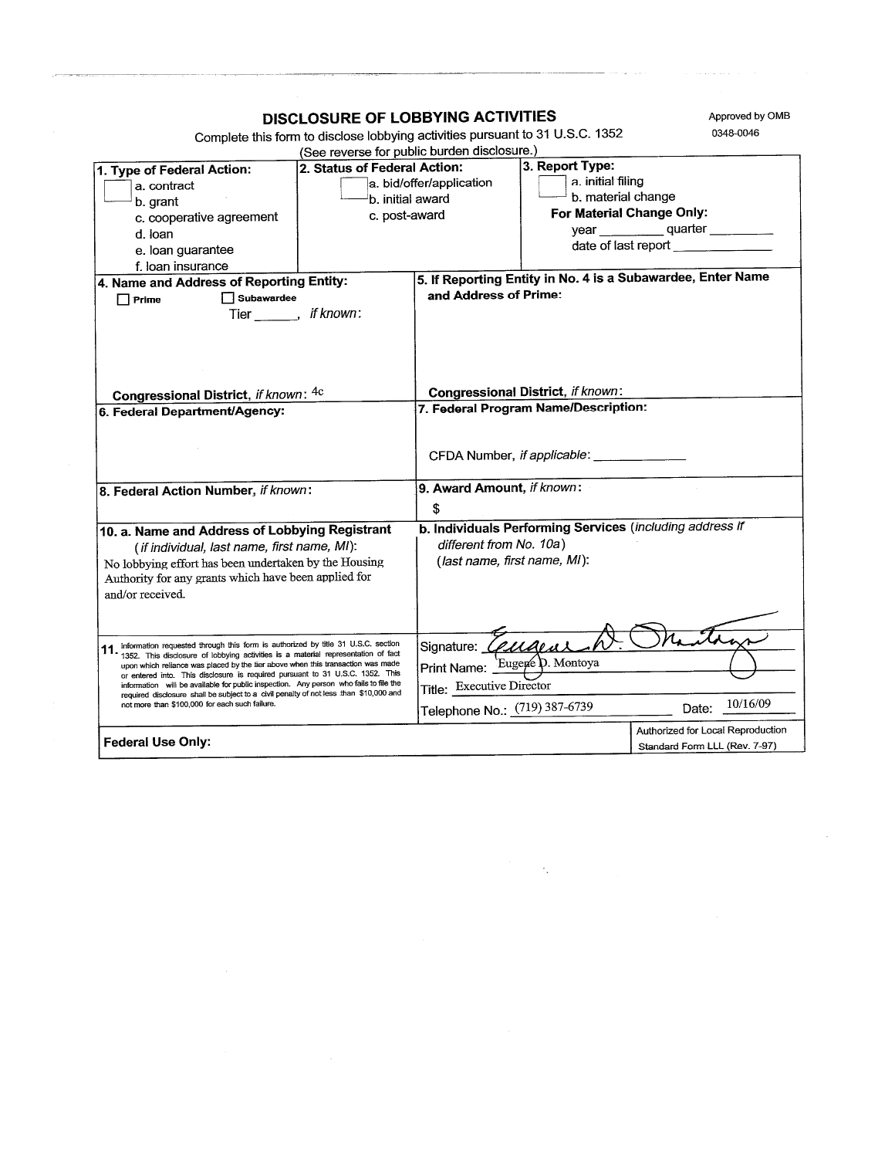| DISCLOSURE OF LOBBYING ACTIVITIES                                                                                                                                                                                                                                                                                                                                                                                                                                                                                                                                                 |                                                                                                                         |                                                                                         | Approved by OMB                                                    |
|-----------------------------------------------------------------------------------------------------------------------------------------------------------------------------------------------------------------------------------------------------------------------------------------------------------------------------------------------------------------------------------------------------------------------------------------------------------------------------------------------------------------------------------------------------------------------------------|-------------------------------------------------------------------------------------------------------------------------|-----------------------------------------------------------------------------------------|--------------------------------------------------------------------|
| Complete this form to disclose lobbying activities pursuant to 31 U.S.C. 1352                                                                                                                                                                                                                                                                                                                                                                                                                                                                                                     |                                                                                                                         |                                                                                         | 0348-0046                                                          |
|                                                                                                                                                                                                                                                                                                                                                                                                                                                                                                                                                                                   | (See reverse for public burden disclosure.)                                                                             |                                                                                         |                                                                    |
| 2. Status of Federal Action:<br>1. Type of Federal Action:<br>a. contract<br>b. initial award<br>b. grant<br>c. post-award<br>c. cooperative agreement<br>d. loan<br>e. loan guarantee                                                                                                                                                                                                                                                                                                                                                                                            | a. bid/offer/application                                                                                                | 3. Report Type:<br>a. initial filing<br>b. material change<br>For Material Change Only: | year quarter<br>date of last report                                |
| f. loan insurance<br>4. Name and Address of Reporting Entity:<br>Subawardee<br>$\Box$ Prime<br>Tier _______, if known:                                                                                                                                                                                                                                                                                                                                                                                                                                                            | and Address of Prime:                                                                                                   |                                                                                         | 5. If Reporting Entity in No. 4 is a Subawardee, Enter Name        |
| Congressional District, if known: 4c<br>6. Federal Department/Agency:                                                                                                                                                                                                                                                                                                                                                                                                                                                                                                             | Congressional District, if known:<br>7. Federal Program Name/Description:                                               |                                                                                         |                                                                    |
|                                                                                                                                                                                                                                                                                                                                                                                                                                                                                                                                                                                   |                                                                                                                         | CFDA Number, if applicable: ____________                                                |                                                                    |
| 8. Federal Action Number, if known:                                                                                                                                                                                                                                                                                                                                                                                                                                                                                                                                               | 9. Award Amount, if known:<br>\$                                                                                        |                                                                                         |                                                                    |
| 10. a. Name and Address of Lobbying Registrant<br>(if individual, last name, first name, MI):<br>No lobbying effort has been undertaken by the Housing<br>Authority for any grants which have been applied for<br>and/or received.                                                                                                                                                                                                                                                                                                                                                | different from No. 10a)<br>(last name, first name, MI):                                                                 |                                                                                         | b. Individuals Performing Services (including address if           |
| 11. Information requested through this form is authorized by title 31 U.S.C. section<br>1352. This disclosure of lobbying activities is a material representation of fact<br>upon which reliance was placed by the tier above when this transaction was made<br>or entered into. This disclosure is required pursuant to 31 U.S.C. 1352. This<br>information will be available for public inspection. Any person who fails to file the<br>required disclosure shall be subject to a civil penalty of not less than \$10,000 and<br>not more than \$100,000 for each such failure. | Signature: <i>Ceuaea</i><br>Print Name: Eugene D. Montoya<br>Title: Executive Director<br>Telephone No.: (719) 387-6739 |                                                                                         | Date: 10/16/09                                                     |
| <b>Federal Use Only:</b>                                                                                                                                                                                                                                                                                                                                                                                                                                                                                                                                                          |                                                                                                                         |                                                                                         | Authorized for Local Reproduction<br>Standard Form LLL (Rev. 7-97) |

 $\label{eq:2.1} \frac{1}{\sqrt{2\pi}}\frac{1}{\sqrt{2\pi}}\frac{d\phi}{d\phi} = \frac{1}{2\sqrt{2\pi}}\frac{1}{\sqrt{2\pi}}\frac{d\phi}{d\phi} = \frac{1}{2\sqrt{2\pi}}\frac{d\phi}{d\phi} = \frac{1}{2\sqrt{2\pi}}\frac{d\phi}{d\phi} = \frac{1}{2\sqrt{2\pi}}\frac{d\phi}{d\phi} = \frac{1}{2\sqrt{2\pi}}\frac{d\phi}{d\phi} = \frac{1}{2\sqrt{2\pi}}\frac{d\phi}{d\phi} = \frac{1}{2\sqrt{2\pi}}$ 

and the sequence of the sequence of the sequence of the sequence of the sequence of  $\mathcal{L}_\text{c}$ 

 $\sim 10^6$